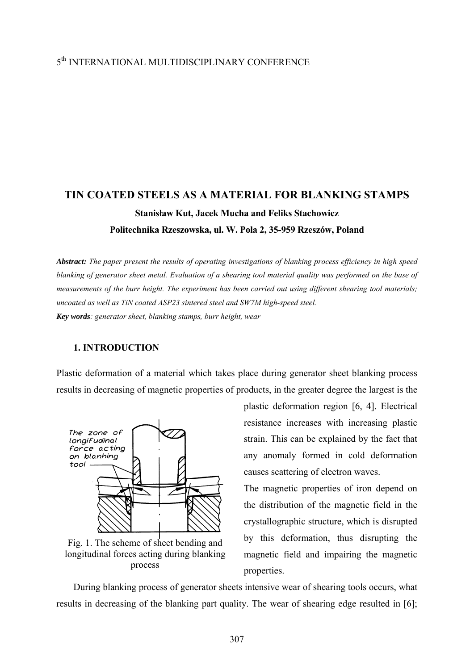## 5th INTERNATIONAL MULTIDISCIPLINARY CONFERENCE

# **TIN COATED STEELS AS A MATERIAL FOR BLANKING STAMPS Stanisław Kut, Jacek Mucha and Feliks Stachowicz Politechnika Rzeszowska, ul. W. Pola 2, 35-959 Rzeszów, Poland**

*Abstract: The paper present the results of operating investigations of blanking process efficiency in high speed blanking of generator sheet metal. Evaluation of a shearing tool material quality was performed on the base of measurements of the burr height. The experiment has been carried out using different shearing tool materials; uncoated as well as TiN coated ASP23 sintered steel and SW7M high-speed steel. Key words: generator sheet, blanking stamps, burr height, wear* 

### **1. INTRODUCTION**

Plastic deformation of a material which takes place during generator sheet blanking process results in decreasing of magnetic properties of products, in the greater degree the largest is the



Fig. 1. The scheme of sheet bending and longitudinal forces acting during blanking process

plastic deformation region [6, 4]. Electrical resistance increases with increasing plastic strain. This can be explained by the fact that any anomaly formed in cold deformation causes scattering of electron waves.

The magnetic properties of iron depend on the distribution of the magnetic field in the crystallographic structure, which is disrupted by this deformation, thus disrupting the magnetic field and impairing the magnetic properties.

 During blanking process of generator sheets intensive wear of shearing tools occurs, what results in decreasing of the blanking part quality. The wear of shearing edge resulted in [6];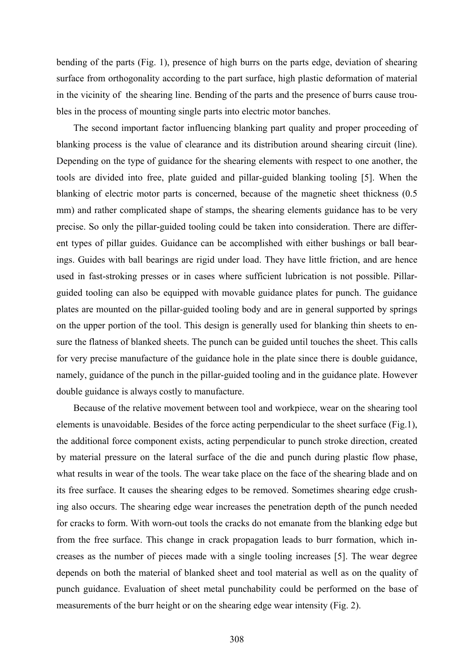bending of the parts (Fig. 1), presence of high burrs on the parts edge, deviation of shearing surface from orthogonality according to the part surface, high plastic deformation of material in the vicinity of the shearing line. Bending of the parts and the presence of burrs cause troubles in the process of mounting single parts into electric motor banches.

 The second important factor influencing blanking part quality and proper proceeding of blanking process is the value of clearance and its distribution around shearing circuit (line). Depending on the type of guidance for the shearing elements with respect to one another, the tools are divided into free, plate guided and pillar-guided blanking tooling [5]. When the blanking of electric motor parts is concerned, because of the magnetic sheet thickness (0.5 mm) and rather complicated shape of stamps, the shearing elements guidance has to be very precise. So only the pillar-guided tooling could be taken into consideration. There are different types of pillar guides. Guidance can be accomplished with either bushings or ball bearings. Guides with ball bearings are rigid under load. They have little friction, and are hence used in fast-stroking presses or in cases where sufficient lubrication is not possible. Pillarguided tooling can also be equipped with movable guidance plates for punch. The guidance plates are mounted on the pillar-guided tooling body and are in general supported by springs on the upper portion of the tool. This design is generally used for blanking thin sheets to ensure the flatness of blanked sheets. The punch can be guided until touches the sheet. This calls for very precise manufacture of the guidance hole in the plate since there is double guidance, namely, guidance of the punch in the pillar-guided tooling and in the guidance plate. However double guidance is always costly to manufacture.

 Because of the relative movement between tool and workpiece, wear on the shearing tool elements is unavoidable. Besides of the force acting perpendicular to the sheet surface (Fig.1), the additional force component exists, acting perpendicular to punch stroke direction, created by material pressure on the lateral surface of the die and punch during plastic flow phase, what results in wear of the tools. The wear take place on the face of the shearing blade and on its free surface. It causes the shearing edges to be removed. Sometimes shearing edge crushing also occurs. The shearing edge wear increases the penetration depth of the punch needed for cracks to form. With worn-out tools the cracks do not emanate from the blanking edge but from the free surface. This change in crack propagation leads to burr formation, which increases as the number of pieces made with a single tooling increases [5]. The wear degree depends on both the material of blanked sheet and tool material as well as on the quality of punch guidance. Evaluation of sheet metal punchability could be performed on the base of measurements of the burr height or on the shearing edge wear intensity (Fig. 2).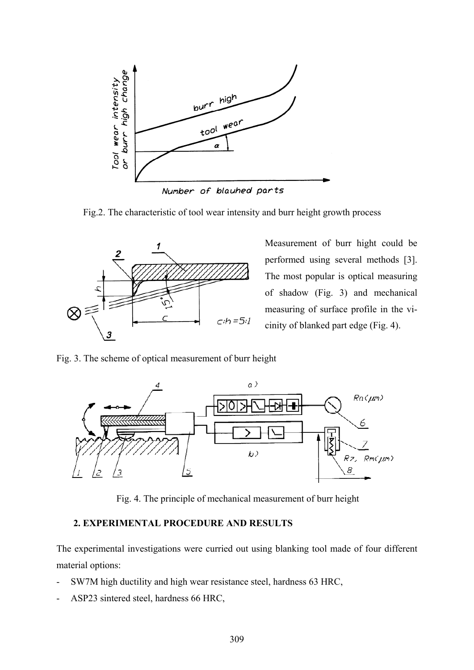

Fig.2. The characteristic of tool wear intensity and burr height growth process



Measurement of burr hight could be performed using several methods [3]. The most popular is optical measuring of shadow (Fig. 3) and mechanical measuring of surface profile in the vicinity of blanked part edge (Fig. 4).

Fig. 3. The scheme of optical measurement of burr height



Fig. 4. The principle of mechanical measurement of burr height

### **2. EXPERIMENTAL PROCEDURE AND RESULTS**

The experimental investigations were curried out using blanking tool made of four different material options:

- SW7M high ductility and high wear resistance steel, hardness 63 HRC,
- ASP23 sintered steel, hardness 66 HRC,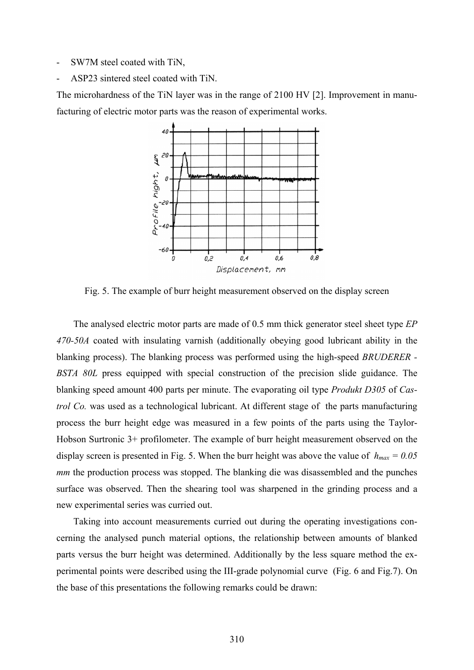- SW7M steel coated with TiN,
- ASP23 sintered steel coated with TiN.

The microhardness of the TiN layer was in the range of 2100 HV [2]. Improvement in manufacturing of electric motor parts was the reason of experimental works.



Fig. 5. The example of burr height measurement observed on the display screen

 The analysed electric motor parts are made of 0.5 mm thick generator steel sheet type *EP 470-50A* coated with insulating varnish (additionally obeying good lubricant ability in the blanking process). The blanking process was performed using the high-speed *BRUDERER - BSTA 80L* press equipped with special construction of the precision slide guidance. The blanking speed amount 400 parts per minute. The evaporating oil type *Produkt D305* of *Castrol Co.* was used as a technological lubricant. At different stage of the parts manufacturing process the burr height edge was measured in a few points of the parts using the Taylor-Hobson Surtronic 3+ profilometer. The example of burr height measurement observed on the display screen is presented in Fig. 5. When the burr height was above the value of  $h_{max} = 0.05$ *mm* the production process was stopped. The blanking die was disassembled and the punches surface was observed. Then the shearing tool was sharpened in the grinding process and a new experimental series was curried out.

 Taking into account measurements curried out during the operating investigations concerning the analysed punch material options, the relationship between amounts of blanked parts versus the burr height was determined. Additionally by the less square method the experimental points were described using the III-grade polynomial curve (Fig. 6 and Fig.7). On the base of this presentations the following remarks could be drawn: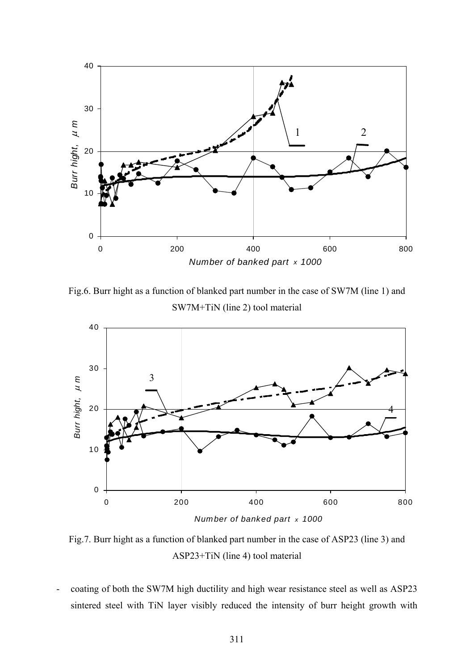

Fig.6. Burr hight as a function of blanked part number in the case of SW7M (line 1) and SW7M+TiN (line 2) tool material



Fig.7. Burr hight as a function of blanked part number in the case of ASP23 (line 3) and ASP23+TiN (line 4) tool material

coating of both the SW7M high ductility and high wear resistance steel as well as ASP23 sintered steel with TiN layer visibly reduced the intensity of burr height growth with